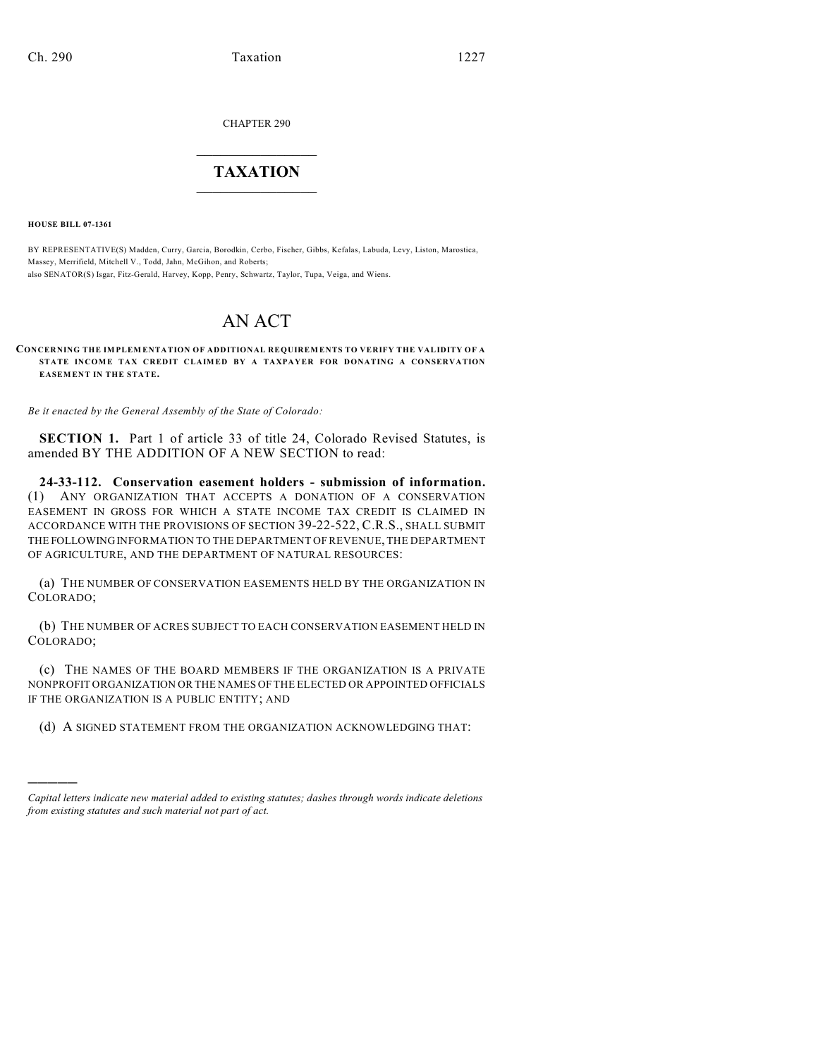CHAPTER 290

# $\overline{\phantom{a}}$  . The set of the set of the set of the set of the set of the set of the set of the set of the set of the set of the set of the set of the set of the set of the set of the set of the set of the set of the set o **TAXATION**  $\_$

**HOUSE BILL 07-1361**

)))))

BY REPRESENTATIVE(S) Madden, Curry, Garcia, Borodkin, Cerbo, Fischer, Gibbs, Kefalas, Labuda, Levy, Liston, Marostica, Massey, Merrifield, Mitchell V., Todd, Jahn, McGihon, and Roberts; also SENATOR(S) Isgar, Fitz-Gerald, Harvey, Kopp, Penry, Schwartz, Taylor, Tupa, Veiga, and Wiens.

# AN ACT

**CONCERNING THE IMPLEM ENTATION OF ADDITIONAL REQUIREM ENTS TO VERIFY THE VALIDITY OF A STATE INCOME TAX CREDIT CLAIMED BY A TAXPAYER FOR DONATING A CONSERVATION EASEMENT IN THE STATE.**

*Be it enacted by the General Assembly of the State of Colorado:*

**SECTION 1.** Part 1 of article 33 of title 24, Colorado Revised Statutes, is amended BY THE ADDITION OF A NEW SECTION to read:

**24-33-112. Conservation easement holders - submission of information.** (1) ANY ORGANIZATION THAT ACCEPTS A DONATION OF A CONSERVATION EASEMENT IN GROSS FOR WHICH A STATE INCOME TAX CREDIT IS CLAIMED IN ACCORDANCE WITH THE PROVISIONS OF SECTION 39-22-522, C.R.S., SHALL SUBMIT THE FOLLOWING INFORMATION TO THE DEPARTMENT OF REVENUE, THE DEPARTMENT OF AGRICULTURE, AND THE DEPARTMENT OF NATURAL RESOURCES:

(a) THE NUMBER OF CONSERVATION EASEMENTS HELD BY THE ORGANIZATION IN COLORADO;

(b) THE NUMBER OF ACRES SUBJECT TO EACH CONSERVATION EASEMENT HELD IN COLORADO;

(c) THE NAMES OF THE BOARD MEMBERS IF THE ORGANIZATION IS A PRIVATE NONPROFIT ORGANIZATION OR THE NAMES OF THE ELECTED OR APPOINTED OFFICIALS IF THE ORGANIZATION IS A PUBLIC ENTITY; AND

(d) A SIGNED STATEMENT FROM THE ORGANIZATION ACKNOWLEDGING THAT:

*Capital letters indicate new material added to existing statutes; dashes through words indicate deletions from existing statutes and such material not part of act.*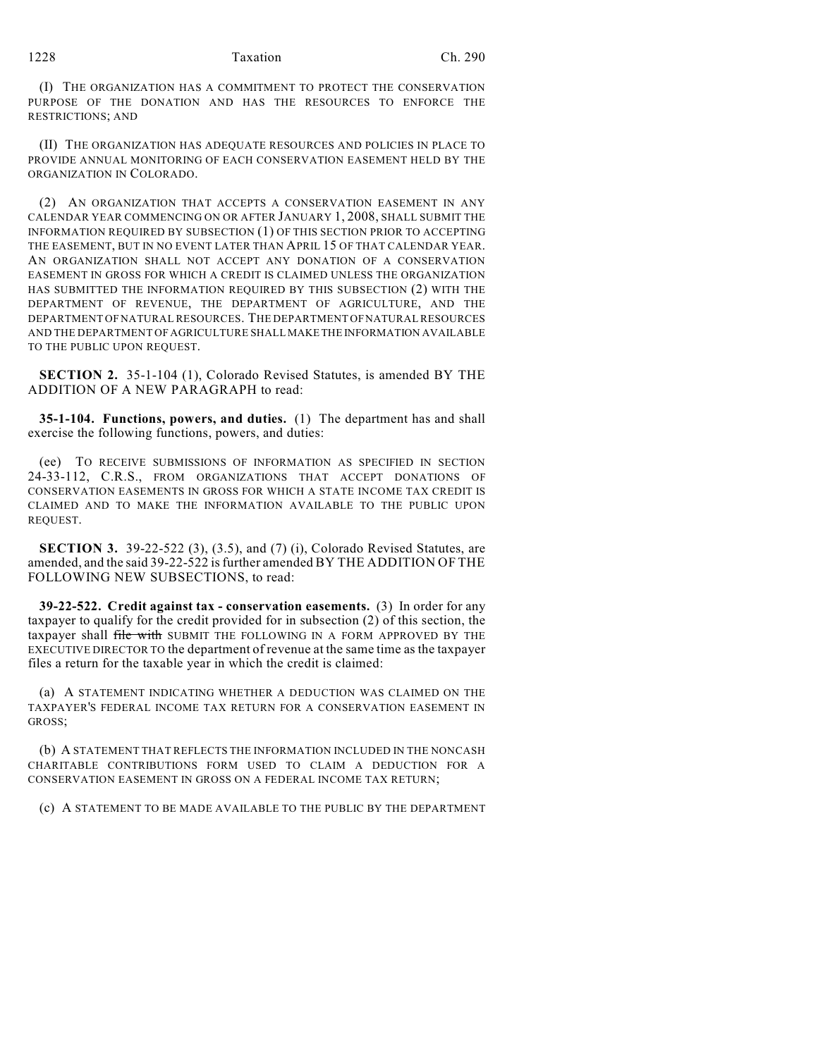#### 1228 Taxation Ch. 290

(I) THE ORGANIZATION HAS A COMMITMENT TO PROTECT THE CONSERVATION PURPOSE OF THE DONATION AND HAS THE RESOURCES TO ENFORCE THE RESTRICTIONS; AND

(II) THE ORGANIZATION HAS ADEQUATE RESOURCES AND POLICIES IN PLACE TO PROVIDE ANNUAL MONITORING OF EACH CONSERVATION EASEMENT HELD BY THE ORGANIZATION IN COLORADO.

(2) AN ORGANIZATION THAT ACCEPTS A CONSERVATION EASEMENT IN ANY CALENDAR YEAR COMMENCING ON OR AFTER JANUARY 1, 2008, SHALL SUBMIT THE INFORMATION REQUIRED BY SUBSECTION (1) OF THIS SECTION PRIOR TO ACCEPTING THE EASEMENT, BUT IN NO EVENT LATER THAN APRIL 15 OF THAT CALENDAR YEAR. AN ORGANIZATION SHALL NOT ACCEPT ANY DONATION OF A CONSERVATION EASEMENT IN GROSS FOR WHICH A CREDIT IS CLAIMED UNLESS THE ORGANIZATION HAS SUBMITTED THE INFORMATION REQUIRED BY THIS SUBSECTION (2) WITH THE DEPARTMENT OF REVENUE, THE DEPARTMENT OF AGRICULTURE, AND THE DEPARTMENT OF NATURAL RESOURCES. THE DEPARTMENT OF NATURAL RESOURCES AND THE DEPARTMENT OF AGRICULTURE SHALL MAKE THE INFORMATION AVAILABLE TO THE PUBLIC UPON REQUEST.

**SECTION 2.** 35-1-104 (1), Colorado Revised Statutes, is amended BY THE ADDITION OF A NEW PARAGRAPH to read:

**35-1-104. Functions, powers, and duties.** (1) The department has and shall exercise the following functions, powers, and duties:

(ee) TO RECEIVE SUBMISSIONS OF INFORMATION AS SPECIFIED IN SECTION 24-33-112, C.R.S., FROM ORGANIZATIONS THAT ACCEPT DONATIONS OF CONSERVATION EASEMENTS IN GROSS FOR WHICH A STATE INCOME TAX CREDIT IS CLAIMED AND TO MAKE THE INFORMATION AVAILABLE TO THE PUBLIC UPON REQUEST.

**SECTION 3.** 39-22-522 (3), (3.5), and (7) (i), Colorado Revised Statutes, are amended, and the said 39-22-522 is further amended BY THE ADDITION OF THE FOLLOWING NEW SUBSECTIONS, to read:

**39-22-522. Credit against tax - conservation easements.** (3) In order for any taxpayer to qualify for the credit provided for in subsection (2) of this section, the taxpayer shall file with SUBMIT THE FOLLOWING IN A FORM APPROVED BY THE EXECUTIVE DIRECTOR TO the department of revenue at the same time as the taxpayer files a return for the taxable year in which the credit is claimed:

(a) A STATEMENT INDICATING WHETHER A DEDUCTION WAS CLAIMED ON THE TAXPAYER'S FEDERAL INCOME TAX RETURN FOR A CONSERVATION EASEMENT IN GROSS;

(b) A STATEMENT THAT REFLECTS THE INFORMATION INCLUDED IN THE NONCASH CHARITABLE CONTRIBUTIONS FORM USED TO CLAIM A DEDUCTION FOR A CONSERVATION EASEMENT IN GROSS ON A FEDERAL INCOME TAX RETURN;

(c) A STATEMENT TO BE MADE AVAILABLE TO THE PUBLIC BY THE DEPARTMENT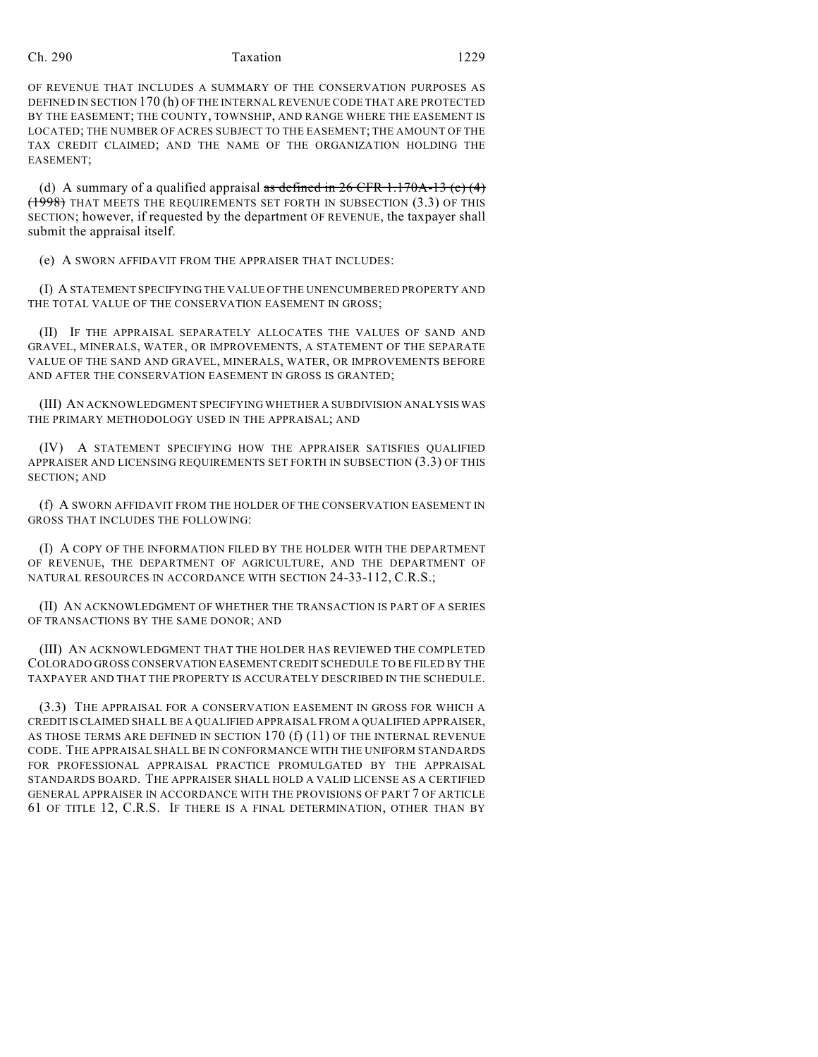# Ch. 290 Taxation 1229

OF REVENUE THAT INCLUDES A SUMMARY OF THE CONSERVATION PURPOSES AS DEFINED IN SECTION 170 (h) OF THE INTERNAL REVENUE CODE THAT ARE PROTECTED BY THE EASEMENT; THE COUNTY, TOWNSHIP, AND RANGE WHERE THE EASEMENT IS LOCATED; THE NUMBER OF ACRES SUBJECT TO THE EASEMENT; THE AMOUNT OF THE TAX CREDIT CLAIMED; AND THE NAME OF THE ORGANIZATION HOLDING THE EASEMENT;

(d) A summary of a qualified appraisal as defined in 26 CFR 1.170A-13 (c)  $(4)$ (1998) THAT MEETS THE REQUIREMENTS SET FORTH IN SUBSECTION (3.3) OF THIS SECTION; however, if requested by the department OF REVENUE, the taxpayer shall submit the appraisal itself.

(e) A SWORN AFFIDAVIT FROM THE APPRAISER THAT INCLUDES:

(I) A STATEMENT SPECIFYING THE VALUE OFTHE UNENCUMBERED PROPERTY AND THE TOTAL VALUE OF THE CONSERVATION EASEMENT IN GROSS;

(II) IF THE APPRAISAL SEPARATELY ALLOCATES THE VALUES OF SAND AND GRAVEL, MINERALS, WATER, OR IMPROVEMENTS, A STATEMENT OF THE SEPARATE VALUE OF THE SAND AND GRAVEL, MINERALS, WATER, OR IMPROVEMENTS BEFORE AND AFTER THE CONSERVATION EASEMENT IN GROSS IS GRANTED;

(III) AN ACKNOWLEDGMENT SPECIFYING WHETHER A SUBDIVISION ANALYSIS WAS THE PRIMARY METHODOLOGY USED IN THE APPRAISAL; AND

(IV) A STATEMENT SPECIFYING HOW THE APPRAISER SATISFIES QUALIFIED APPRAISER AND LICENSING REQUIREMENTS SET FORTH IN SUBSECTION (3.3) OF THIS SECTION; AND

(f) A SWORN AFFIDAVIT FROM THE HOLDER OF THE CONSERVATION EASEMENT IN GROSS THAT INCLUDES THE FOLLOWING:

(I) A COPY OF THE INFORMATION FILED BY THE HOLDER WITH THE DEPARTMENT OF REVENUE, THE DEPARTMENT OF AGRICULTURE, AND THE DEPARTMENT OF NATURAL RESOURCES IN ACCORDANCE WITH SECTION 24-33-112, C.R.S.;

(II) AN ACKNOWLEDGMENT OF WHETHER THE TRANSACTION IS PART OF A SERIES OF TRANSACTIONS BY THE SAME DONOR; AND

(III) AN ACKNOWLEDGMENT THAT THE HOLDER HAS REVIEWED THE COMPLETED COLORADO GROSS CONSERVATION EASEMENT CREDIT SCHEDULE TO BE FILED BY THE TAXPAYER AND THAT THE PROPERTY IS ACCURATELY DESCRIBED IN THE SCHEDULE.

(3.3) THE APPRAISAL FOR A CONSERVATION EASEMENT IN GROSS FOR WHICH A CREDIT IS CLAIMED SHALL BE A QUALIFIED APPRAISAL FROM A QUALIFIED APPRAISER, AS THOSE TERMS ARE DEFINED IN SECTION 170 (f) (11) OF THE INTERNAL REVENUE CODE. THE APPRAISAL SHALL BE IN CONFORMANCE WITH THE UNIFORM STANDARDS FOR PROFESSIONAL APPRAISAL PRACTICE PROMULGATED BY THE APPRAISAL STANDARDS BOARD. THE APPRAISER SHALL HOLD A VALID LICENSE AS A CERTIFIED GENERAL APPRAISER IN ACCORDANCE WITH THE PROVISIONS OF PART 7 OF ARTICLE 61 OF TITLE 12, C.R.S. IF THERE IS A FINAL DETERMINATION, OTHER THAN BY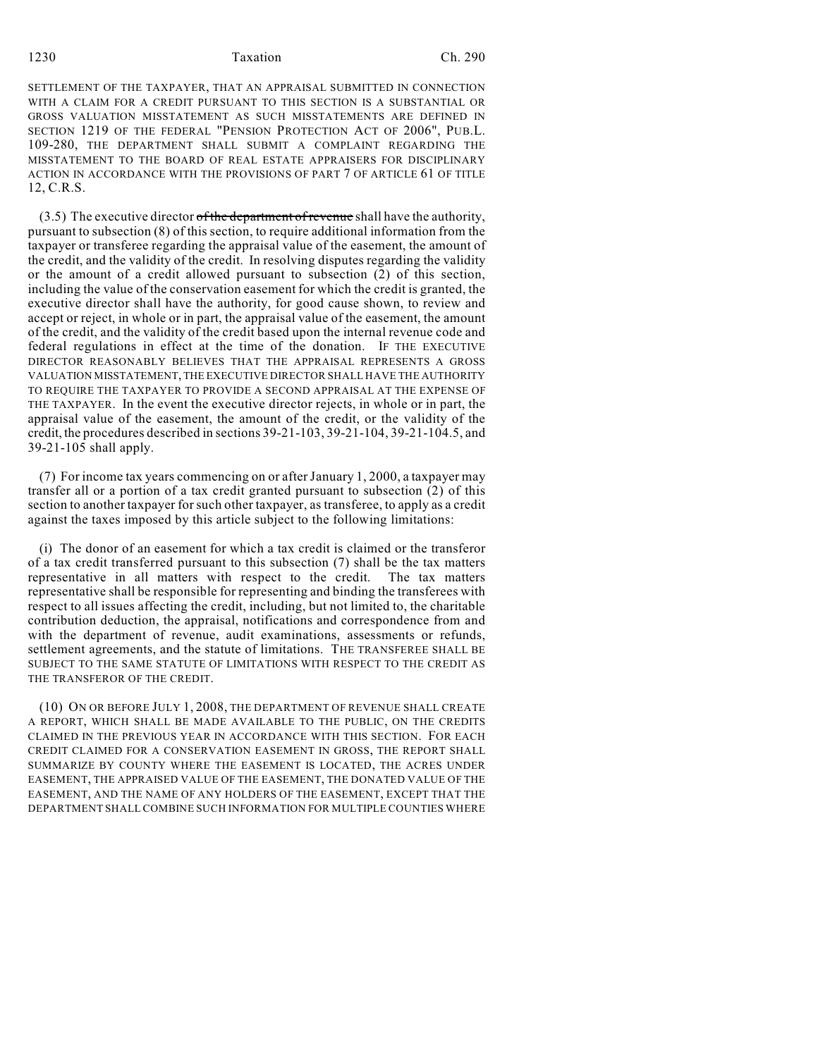## 1230 Taxation Ch. 290

SETTLEMENT OF THE TAXPAYER, THAT AN APPRAISAL SUBMITTED IN CONNECTION WITH A CLAIM FOR A CREDIT PURSUANT TO THIS SECTION IS A SUBSTANTIAL OR GROSS VALUATION MISSTATEMENT AS SUCH MISSTATEMENTS ARE DEFINED IN SECTION 1219 OF THE FEDERAL "PENSION PROTECTION ACT OF 2006", PUB.L. 109-280, THE DEPARTMENT SHALL SUBMIT A COMPLAINT REGARDING THE MISSTATEMENT TO THE BOARD OF REAL ESTATE APPRAISERS FOR DISCIPLINARY ACTION IN ACCORDANCE WITH THE PROVISIONS OF PART 7 OF ARTICLE 61 OF TITLE 12, C.R.S.

 $(3.5)$  The executive director of the department of revenue shall have the authority, pursuant to subsection (8) of this section, to require additional information from the taxpayer or transferee regarding the appraisal value of the easement, the amount of the credit, and the validity of the credit. In resolving disputes regarding the validity or the amount of a credit allowed pursuant to subsection (2) of this section, including the value of the conservation easement for which the credit is granted, the executive director shall have the authority, for good cause shown, to review and accept or reject, in whole or in part, the appraisal value of the easement, the amount of the credit, and the validity of the credit based upon the internal revenue code and federal regulations in effect at the time of the donation. IF THE EXECUTIVE DIRECTOR REASONABLY BELIEVES THAT THE APPRAISAL REPRESENTS A GROSS VALUATION MISSTATEMENT, THE EXECUTIVE DIRECTOR SHALL HAVE THE AUTHORITY TO REQUIRE THE TAXPAYER TO PROVIDE A SECOND APPRAISAL AT THE EXPENSE OF THE TAXPAYER. In the event the executive director rejects, in whole or in part, the appraisal value of the easement, the amount of the credit, or the validity of the credit, the procedures described in sections 39-21-103, 39-21-104, 39-21-104.5, and 39-21-105 shall apply.

(7) For income tax years commencing on or after January 1, 2000, a taxpayer may transfer all or a portion of a tax credit granted pursuant to subsection (2) of this section to another taxpayer for such other taxpayer, as transferee, to apply as a credit against the taxes imposed by this article subject to the following limitations:

(i) The donor of an easement for which a tax credit is claimed or the transferor of a tax credit transferred pursuant to this subsection (7) shall be the tax matters representative in all matters with respect to the credit. The tax matters representative shall be responsible for representing and binding the transferees with respect to all issues affecting the credit, including, but not limited to, the charitable contribution deduction, the appraisal, notifications and correspondence from and with the department of revenue, audit examinations, assessments or refunds, settlement agreements, and the statute of limitations. THE TRANSFEREE SHALL BE SUBJECT TO THE SAME STATUTE OF LIMITATIONS WITH RESPECT TO THE CREDIT AS THE TRANSFEROR OF THE CREDIT.

(10) ON OR BEFORE JULY 1, 2008, THE DEPARTMENT OF REVENUE SHALL CREATE A REPORT, WHICH SHALL BE MADE AVAILABLE TO THE PUBLIC, ON THE CREDITS CLAIMED IN THE PREVIOUS YEAR IN ACCORDANCE WITH THIS SECTION. FOR EACH CREDIT CLAIMED FOR A CONSERVATION EASEMENT IN GROSS, THE REPORT SHALL SUMMARIZE BY COUNTY WHERE THE EASEMENT IS LOCATED, THE ACRES UNDER EASEMENT, THE APPRAISED VALUE OF THE EASEMENT, THE DONATED VALUE OF THE EASEMENT, AND THE NAME OF ANY HOLDERS OF THE EASEMENT, EXCEPT THAT THE DEPARTMENT SHALL COMBINE SUCH INFORMATION FOR MULTIPLE COUNTIES WHERE